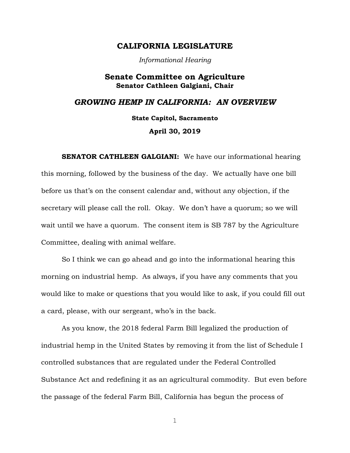## **CALIFORNIA LEGISLATURE**

*Informational Hearing*

## **Senate Committee on Agriculture Senator Cathleen Galgiani, Chair**

# *GROWING HEMP IN CALIFORNIA: AN OVERVIEW*

**State Capitol, Sacramento**

**April 30, 2019**

**SENATOR CATHLEEN GALGIANI:** We have our informational hearing this morning, followed by the business of the day. We actually have one bill before us that's on the consent calendar and, without any objection, if the secretary will please call the roll. Okay. We don't have a quorum; so we will wait until we have a quorum. The consent item is SB 787 by the Agriculture Committee, dealing with animal welfare.

So I think we can go ahead and go into the informational hearing this morning on industrial hemp. As always, if you have any comments that you would like to make or questions that you would like to ask, if you could fill out a card, please, with our sergeant, who's in the back.

As you know, the 2018 federal Farm Bill legalized the production of industrial hemp in the United States by removing it from the list of Schedule I controlled substances that are regulated under the Federal Controlled Substance Act and redefining it as an agricultural commodity. But even before the passage of the federal Farm Bill, California has begun the process of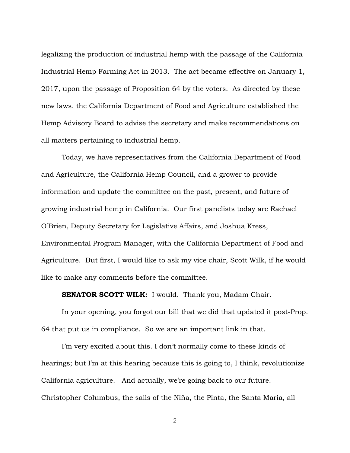legalizing the production of industrial hemp with the passage of the California Industrial Hemp Farming Act in 2013. The act became effective on January 1, 2017, upon the passage of Proposition 64 by the voters. As directed by these new laws, the California Department of Food and Agriculture established the Hemp Advisory Board to advise the secretary and make recommendations on all matters pertaining to industrial hemp.

Today, we have representatives from the California Department of Food and Agriculture, the California Hemp Council, and a grower to provide information and update the committee on the past, present, and future of growing industrial hemp in California. Our first panelists today are Rachael O'Brien, Deputy Secretary for Legislative Affairs, and Joshua Kress, Environmental Program Manager, with the California Department of Food and Agriculture. But first, I would like to ask my vice chair, Scott Wilk, if he would like to make any comments before the committee.

**SENATOR SCOTT WILK:** I would. Thank you, Madam Chair.

In your opening, you forgot our bill that we did that updated it post-Prop. 64 that put us in compliance. So we are an important link in that.

I'm very excited about this. I don't normally come to these kinds of hearings; but I'm at this hearing because this is going to, I think, revolutionize California agriculture. And actually, we're going back to our future. Christopher Columbus, the sails of the Niña, the Pinta, the Santa Maria, all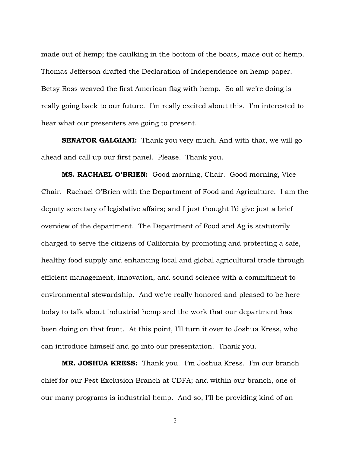made out of hemp; the caulking in the bottom of the boats, made out of hemp. Thomas Jefferson drafted the Declaration of Independence on hemp paper. Betsy Ross weaved the first American flag with hemp. So all we're doing is really going back to our future. I'm really excited about this. I'm interested to hear what our presenters are going to present.

**SENATOR GALGIANI:** Thank you very much. And with that, we will go ahead and call up our first panel. Please. Thank you.

**MS. RACHAEL O'BRIEN:** Good morning, Chair. Good morning, Vice Chair. Rachael O'Brien with the Department of Food and Agriculture. I am the deputy secretary of legislative affairs; and I just thought I'd give just a brief overview of the department. The Department of Food and Ag is statutorily charged to serve the citizens of California by promoting and protecting a safe, healthy food supply and enhancing local and global agricultural trade through efficient management, innovation, and sound science with a commitment to environmental stewardship. And we're really honored and pleased to be here today to talk about industrial hemp and the work that our department has been doing on that front. At this point, I'll turn it over to Joshua Kress, who can introduce himself and go into our presentation. Thank you.

**MR. JOSHUA KRESS:** Thank you. I'm Joshua Kress. I'm our branch chief for our Pest Exclusion Branch at CDFA; and within our branch, one of our many programs is industrial hemp. And so, I'll be providing kind of an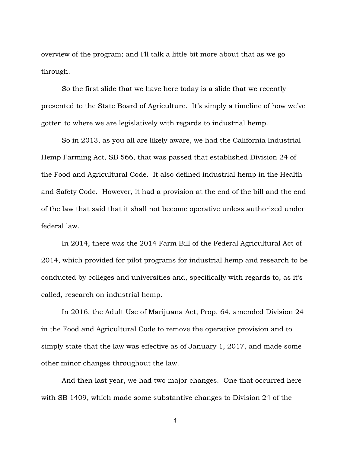overview of the program; and I'll talk a little bit more about that as we go through.

So the first slide that we have here today is a slide that we recently presented to the State Board of Agriculture. It's simply a timeline of how we've gotten to where we are legislatively with regards to industrial hemp.

So in 2013, as you all are likely aware, we had the California Industrial Hemp Farming Act, SB 566, that was passed that established Division 24 of the Food and Agricultural Code. It also defined industrial hemp in the Health and Safety Code. However, it had a provision at the end of the bill and the end of the law that said that it shall not become operative unless authorized under federal law.

In 2014, there was the 2014 Farm Bill of the Federal Agricultural Act of 2014, which provided for pilot programs for industrial hemp and research to be conducted by colleges and universities and, specifically with regards to, as it's called, research on industrial hemp.

In 2016, the Adult Use of Marijuana Act, Prop. 64, amended Division 24 in the Food and Agricultural Code to remove the operative provision and to simply state that the law was effective as of January 1, 2017, and made some other minor changes throughout the law.

And then last year, we had two major changes. One that occurred here with SB 1409, which made some substantive changes to Division 24 of the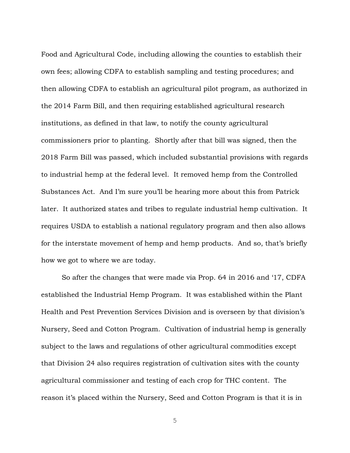Food and Agricultural Code, including allowing the counties to establish their own fees; allowing CDFA to establish sampling and testing procedures; and then allowing CDFA to establish an agricultural pilot program, as authorized in the 2014 Farm Bill, and then requiring established agricultural research institutions, as defined in that law, to notify the county agricultural commissioners prior to planting. Shortly after that bill was signed, then the 2018 Farm Bill was passed, which included substantial provisions with regards to industrial hemp at the federal level. It removed hemp from the Controlled Substances Act. And I'm sure you'll be hearing more about this from Patrick later. It authorized states and tribes to regulate industrial hemp cultivation. It requires USDA to establish a national regulatory program and then also allows for the interstate movement of hemp and hemp products. And so, that's briefly how we got to where we are today.

So after the changes that were made via Prop. 64 in 2016 and '17, CDFA established the Industrial Hemp Program. It was established within the Plant Health and Pest Prevention Services Division and is overseen by that division's Nursery, Seed and Cotton Program. Cultivation of industrial hemp is generally subject to the laws and regulations of other agricultural commodities except that Division 24 also requires registration of cultivation sites with the county agricultural commissioner and testing of each crop for THC content. The reason it's placed within the Nursery, Seed and Cotton Program is that it is in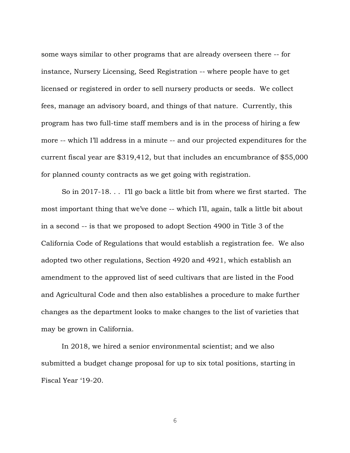some ways similar to other programs that are already overseen there -- for instance, Nursery Licensing, Seed Registration -- where people have to get licensed or registered in order to sell nursery products or seeds. We collect fees, manage an advisory board, and things of that nature. Currently, this program has two full-time staff members and is in the process of hiring a few more -- which I'll address in a minute -- and our projected expenditures for the current fiscal year are \$319,412, but that includes an encumbrance of \$55,000 for planned county contracts as we get going with registration.

So in 2017-18. . . I'll go back a little bit from where we first started. The most important thing that we've done -- which I'll, again, talk a little bit about in a second -- is that we proposed to adopt Section 4900 in Title 3 of the California Code of Regulations that would establish a registration fee. We also adopted two other regulations, Section 4920 and 4921, which establish an amendment to the approved list of seed cultivars that are listed in the Food and Agricultural Code and then also establishes a procedure to make further changes as the department looks to make changes to the list of varieties that may be grown in California.

In 2018, we hired a senior environmental scientist; and we also submitted a budget change proposal for up to six total positions, starting in Fiscal Year '19-20.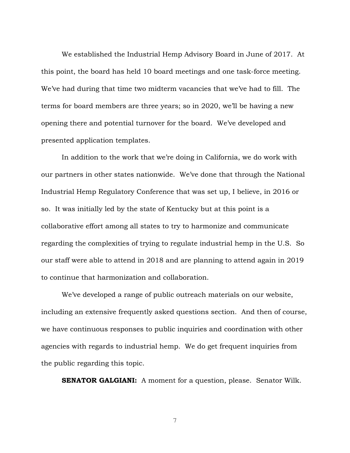We established the Industrial Hemp Advisory Board in June of 2017. At this point, the board has held 10 board meetings and one task-force meeting. We've had during that time two midterm vacancies that we've had to fill. The terms for board members are three years; so in 2020, we'll be having a new opening there and potential turnover for the board. We've developed and presented application templates.

In addition to the work that we're doing in California, we do work with our partners in other states nationwide. We've done that through the National Industrial Hemp Regulatory Conference that was set up, I believe, in 2016 or so. It was initially led by the state of Kentucky but at this point is a collaborative effort among all states to try to harmonize and communicate regarding the complexities of trying to regulate industrial hemp in the U.S. So our staff were able to attend in 2018 and are planning to attend again in 2019 to continue that harmonization and collaboration.

We've developed a range of public outreach materials on our website, including an extensive frequently asked questions section. And then of course, we have continuous responses to public inquiries and coordination with other agencies with regards to industrial hemp. We do get frequent inquiries from the public regarding this topic.

**SENATOR GALGIANI:** A moment for a question, please. Senator Wilk.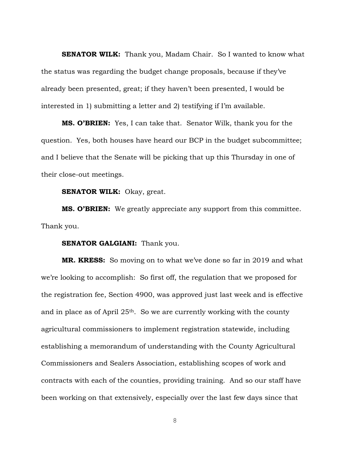**SENATOR WILK:** Thank you, Madam Chair. So I wanted to know what the status was regarding the budget change proposals, because if they've already been presented, great; if they haven't been presented, I would be interested in 1) submitting a letter and 2) testifying if I'm available.

**MS. O'BRIEN:** Yes, I can take that. Senator Wilk, thank you for the question. Yes, both houses have heard our BCP in the budget subcommittee; and I believe that the Senate will be picking that up this Thursday in one of their close-out meetings.

**SENATOR WILK:** Okay, great.

**MS. O'BRIEN:** We greatly appreciate any support from this committee. Thank you.

### **SENATOR GALGIANI:** Thank you.

**MR. KRESS:** So moving on to what we've done so far in 2019 and what we're looking to accomplish: So first off, the regulation that we proposed for the registration fee, Section 4900, was approved just last week and is effective and in place as of April 25th. So we are currently working with the county agricultural commissioners to implement registration statewide, including establishing a memorandum of understanding with the County Agricultural Commissioners and Sealers Association, establishing scopes of work and contracts with each of the counties, providing training. And so our staff have been working on that extensively, especially over the last few days since that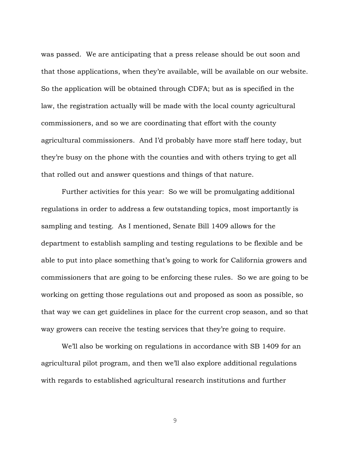was passed. We are anticipating that a press release should be out soon and that those applications, when they're available, will be available on our website. So the application will be obtained through CDFA; but as is specified in the law, the registration actually will be made with the local county agricultural commissioners, and so we are coordinating that effort with the county agricultural commissioners. And I'd probably have more staff here today, but they're busy on the phone with the counties and with others trying to get all that rolled out and answer questions and things of that nature.

Further activities for this year: So we will be promulgating additional regulations in order to address a few outstanding topics, most importantly is sampling and testing. As I mentioned, Senate Bill 1409 allows for the department to establish sampling and testing regulations to be flexible and be able to put into place something that's going to work for California growers and commissioners that are going to be enforcing these rules. So we are going to be working on getting those regulations out and proposed as soon as possible, so that way we can get guidelines in place for the current crop season, and so that way growers can receive the testing services that they're going to require.

We'll also be working on regulations in accordance with SB 1409 for an agricultural pilot program, and then we'll also explore additional regulations with regards to established agricultural research institutions and further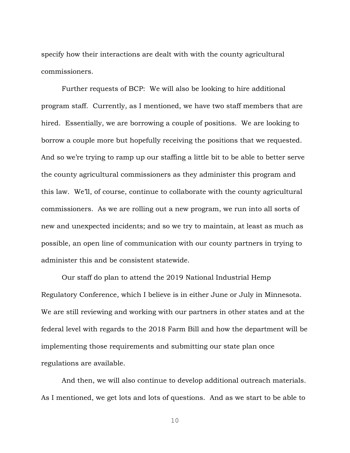specify how their interactions are dealt with with the county agricultural commissioners.

Further requests of BCP: We will also be looking to hire additional program staff. Currently, as I mentioned, we have two staff members that are hired. Essentially, we are borrowing a couple of positions. We are looking to borrow a couple more but hopefully receiving the positions that we requested. And so we're trying to ramp up our staffing a little bit to be able to better serve the county agricultural commissioners as they administer this program and this law. We'll, of course, continue to collaborate with the county agricultural commissioners. As we are rolling out a new program, we run into all sorts of new and unexpected incidents; and so we try to maintain, at least as much as possible, an open line of communication with our county partners in trying to administer this and be consistent statewide.

Our staff do plan to attend the 2019 National Industrial Hemp Regulatory Conference, which I believe is in either June or July in Minnesota. We are still reviewing and working with our partners in other states and at the federal level with regards to the 2018 Farm Bill and how the department will be implementing those requirements and submitting our state plan once regulations are available.

And then, we will also continue to develop additional outreach materials. As I mentioned, we get lots and lots of questions. And as we start to be able to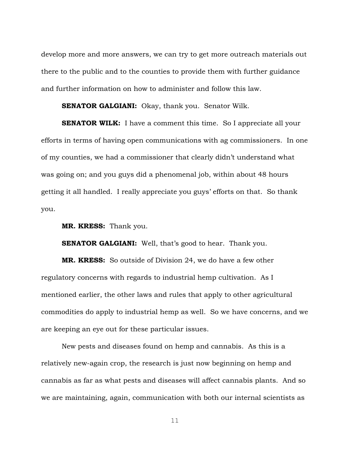develop more and more answers, we can try to get more outreach materials out there to the public and to the counties to provide them with further guidance and further information on how to administer and follow this law.

**SENATOR GALGIANI:** Okay, thank you. Senator Wilk.

**SENATOR WILK:** I have a comment this time. So I appreciate all your efforts in terms of having open communications with ag commissioners. In one of my counties, we had a commissioner that clearly didn't understand what was going on; and you guys did a phenomenal job, within about 48 hours getting it all handled. I really appreciate you guys' efforts on that. So thank you.

**MR. KRESS:** Thank you.

**SENATOR GALGIANI:** Well, that's good to hear. Thank you.

**MR. KRESS:** So outside of Division 24, we do have a few other regulatory concerns with regards to industrial hemp cultivation. As I mentioned earlier, the other laws and rules that apply to other agricultural commodities do apply to industrial hemp as well. So we have concerns, and we are keeping an eye out for these particular issues.

New pests and diseases found on hemp and cannabis. As this is a relatively new-again crop, the research is just now beginning on hemp and cannabis as far as what pests and diseases will affect cannabis plants. And so we are maintaining, again, communication with both our internal scientists as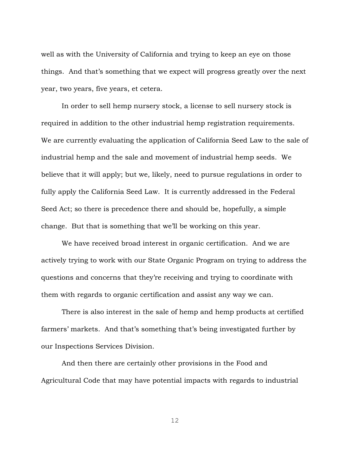well as with the University of California and trying to keep an eye on those things. And that's something that we expect will progress greatly over the next year, two years, five years, et cetera.

In order to sell hemp nursery stock, a license to sell nursery stock is required in addition to the other industrial hemp registration requirements. We are currently evaluating the application of California Seed Law to the sale of industrial hemp and the sale and movement of industrial hemp seeds. We believe that it will apply; but we, likely, need to pursue regulations in order to fully apply the California Seed Law. It is currently addressed in the Federal Seed Act; so there is precedence there and should be, hopefully, a simple change. But that is something that we'll be working on this year.

We have received broad interest in organic certification. And we are actively trying to work with our State Organic Program on trying to address the questions and concerns that they're receiving and trying to coordinate with them with regards to organic certification and assist any way we can.

There is also interest in the sale of hemp and hemp products at certified farmers' markets. And that's something that's being investigated further by our Inspections Services Division.

And then there are certainly other provisions in the Food and Agricultural Code that may have potential impacts with regards to industrial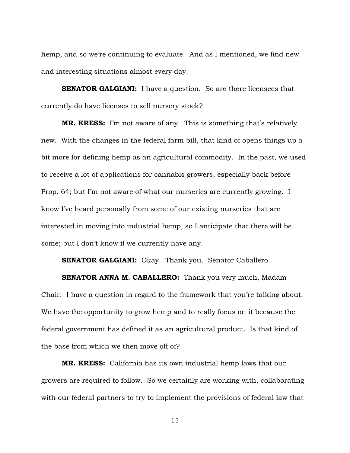hemp, and so we're continuing to evaluate. And as I mentioned, we find new and interesting situations almost every day.

**SENATOR GALGIANI:** I have a question. So are there licensees that currently do have licenses to sell nursery stock?

**MR. KRESS:** I'm not aware of any. This is something that's relatively new. With the changes in the federal farm bill, that kind of opens things up a bit more for defining hemp as an agricultural commodity. In the past, we used to receive a lot of applications for cannabis growers, especially back before Prop. 64; but I'm not aware of what our nurseries are currently growing. I know I've heard personally from some of our existing nurseries that are interested in moving into industrial hemp, so I anticipate that there will be some; but I don't know if we currently have any.

**SENATOR GALGIANI:** Okay. Thank you. Senator Caballero.

**SENATOR ANNA M. CABALLERO:** Thank you very much, Madam Chair. I have a question in regard to the framework that you're talking about. We have the opportunity to grow hemp and to really focus on it because the federal government has defined it as an agricultural product. Is that kind of the base from which we then move off of?

**MR. KRESS:** California has its own industrial hemp laws that our growers are required to follow. So we certainly are working with, collaborating with our federal partners to try to implement the provisions of federal law that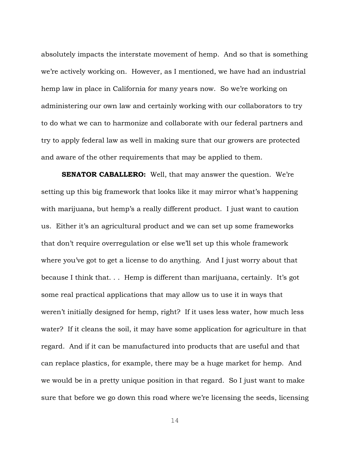absolutely impacts the interstate movement of hemp. And so that is something we're actively working on. However, as I mentioned, we have had an industrial hemp law in place in California for many years now. So we're working on administering our own law and certainly working with our collaborators to try to do what we can to harmonize and collaborate with our federal partners and try to apply federal law as well in making sure that our growers are protected and aware of the other requirements that may be applied to them.

**SENATOR CABALLERO:** Well, that may answer the question. We're setting up this big framework that looks like it may mirror what's happening with marijuana, but hemp's a really different product. I just want to caution us. Either it's an agricultural product and we can set up some frameworks that don't require overregulation or else we'll set up this whole framework where you've got to get a license to do anything. And I just worry about that because I think that. . . Hemp is different than marijuana, certainly. It's got some real practical applications that may allow us to use it in ways that weren't initially designed for hemp, right? If it uses less water, how much less water? If it cleans the soil, it may have some application for agriculture in that regard. And if it can be manufactured into products that are useful and that can replace plastics, for example, there may be a huge market for hemp. And we would be in a pretty unique position in that regard. So I just want to make sure that before we go down this road where we're licensing the seeds, licensing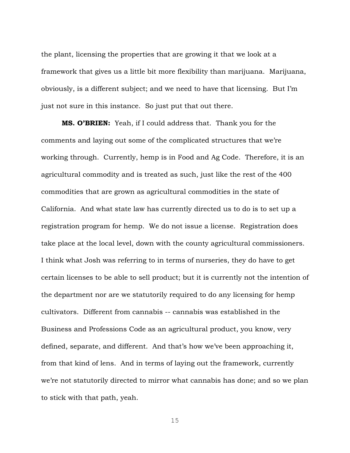the plant, licensing the properties that are growing it that we look at a framework that gives us a little bit more flexibility than marijuana. Marijuana, obviously, is a different subject; and we need to have that licensing. But I'm just not sure in this instance. So just put that out there.

**MS. O'BRIEN:** Yeah, if I could address that. Thank you for the comments and laying out some of the complicated structures that we're working through. Currently, hemp is in Food and Ag Code. Therefore, it is an agricultural commodity and is treated as such, just like the rest of the 400 commodities that are grown as agricultural commodities in the state of California. And what state law has currently directed us to do is to set up a registration program for hemp. We do not issue a license. Registration does take place at the local level, down with the county agricultural commissioners. I think what Josh was referring to in terms of nurseries, they do have to get certain licenses to be able to sell product; but it is currently not the intention of the department nor are we statutorily required to do any licensing for hemp cultivators. Different from cannabis -- cannabis was established in the Business and Professions Code as an agricultural product, you know, very defined, separate, and different. And that's how we've been approaching it, from that kind of lens. And in terms of laying out the framework, currently we're not statutorily directed to mirror what cannabis has done; and so we plan to stick with that path, yeah.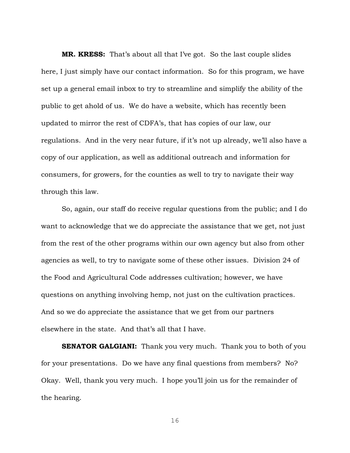**MR. KRESS:** That's about all that I've got. So the last couple slides here, I just simply have our contact information. So for this program, we have set up a general email inbox to try to streamline and simplify the ability of the public to get ahold of us. We do have a website, which has recently been updated to mirror the rest of CDFA's, that has copies of our law, our regulations. And in the very near future, if it's not up already, we'll also have a copy of our application, as well as additional outreach and information for consumers, for growers, for the counties as well to try to navigate their way through this law.

So, again, our staff do receive regular questions from the public; and I do want to acknowledge that we do appreciate the assistance that we get, not just from the rest of the other programs within our own agency but also from other agencies as well, to try to navigate some of these other issues. Division 24 of the Food and Agricultural Code addresses cultivation; however, we have questions on anything involving hemp, not just on the cultivation practices. And so we do appreciate the assistance that we get from our partners elsewhere in the state. And that's all that I have.

**SENATOR GALGIANI:** Thank you very much. Thank you to both of you for your presentations. Do we have any final questions from members? No? Okay. Well, thank you very much. I hope you'll join us for the remainder of the hearing.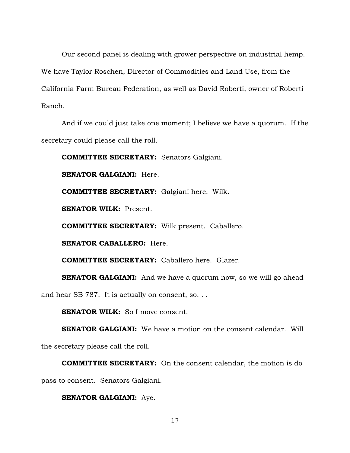Our second panel is dealing with grower perspective on industrial hemp. We have Taylor Roschen, Director of Commodities and Land Use, from the California Farm Bureau Federation, as well as David Roberti, owner of Roberti Ranch.

And if we could just take one moment; I believe we have a quorum. If the secretary could please call the roll.

**COMMITTEE SECRETARY:** Senators Galgiani.

**SENATOR GALGIANI:** Here.

**COMMITTEE SECRETARY:** Galgiani here. Wilk.

**SENATOR WILK:** Present.

**COMMITTEE SECRETARY:** Wilk present. Caballero.

**SENATOR CABALLERO:** Here.

**COMMITTEE SECRETARY:** Caballero here. Glazer.

**SENATOR GALGIANI:** And we have a quorum now, so we will go ahead

and hear SB 787. It is actually on consent, so. . .

**SENATOR WILK:** So I move consent.

**SENATOR GALGIANI:** We have a motion on the consent calendar. Will the secretary please call the roll.

**COMMITTEE SECRETARY:** On the consent calendar, the motion is do pass to consent. Senators Galgiani.

### **SENATOR GALGIANI:** Aye.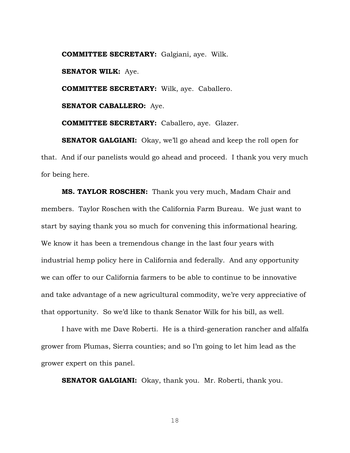**COMMITTEE SECRETARY:** Galgiani, aye. Wilk. **SENATOR WILK:** Aye. **COMMITTEE SECRETARY:** Wilk, aye. Caballero. **SENATOR CABALLERO:** Aye.

**COMMITTEE SECRETARY:** Caballero, aye. Glazer.

**SENATOR GALGIANI:** Okay, we'll go ahead and keep the roll open for that. And if our panelists would go ahead and proceed. I thank you very much for being here.

**MS. TAYLOR ROSCHEN:** Thank you very much, Madam Chair and members. Taylor Roschen with the California Farm Bureau. We just want to start by saying thank you so much for convening this informational hearing. We know it has been a tremendous change in the last four years with industrial hemp policy here in California and federally. And any opportunity we can offer to our California farmers to be able to continue to be innovative and take advantage of a new agricultural commodity, we're very appreciative of that opportunity. So we'd like to thank Senator Wilk for his bill, as well.

I have with me Dave Roberti. He is a third-generation rancher and alfalfa grower from Plumas, Sierra counties; and so I'm going to let him lead as the grower expert on this panel.

**SENATOR GALGIANI:** Okay, thank you. Mr. Roberti, thank you.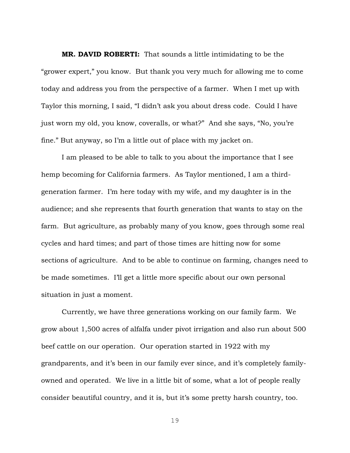**MR. DAVID ROBERTI:** That sounds a little intimidating to be the "grower expert," you know. But thank you very much for allowing me to come today and address you from the perspective of a farmer. When I met up with Taylor this morning, I said, "I didn't ask you about dress code. Could I have just worn my old, you know, coveralls, or what?" And she says, "No, you're fine." But anyway, so I'm a little out of place with my jacket on.

I am pleased to be able to talk to you about the importance that I see hemp becoming for California farmers. As Taylor mentioned, I am a thirdgeneration farmer. I'm here today with my wife, and my daughter is in the audience; and she represents that fourth generation that wants to stay on the farm. But agriculture, as probably many of you know, goes through some real cycles and hard times; and part of those times are hitting now for some sections of agriculture. And to be able to continue on farming, changes need to be made sometimes. I'll get a little more specific about our own personal situation in just a moment.

Currently, we have three generations working on our family farm. We grow about 1,500 acres of alfalfa under pivot irrigation and also run about 500 beef cattle on our operation. Our operation started in 1922 with my grandparents, and it's been in our family ever since, and it's completely familyowned and operated. We live in a little bit of some, what a lot of people really consider beautiful country, and it is, but it's some pretty harsh country, too.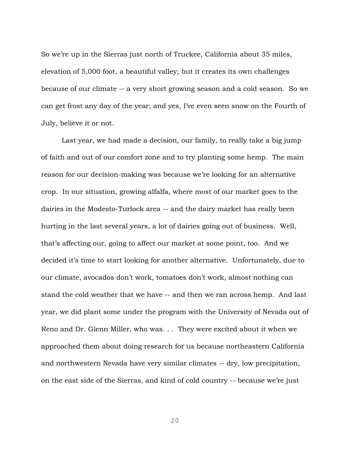So we're up in the Sierras just north of Truckee, California about 35 miles, elevation of 5,000 foot, a beautiful valley; but it creates its own challenges because of our climate -- a very short growing season and a cold season. So we can get frost any day of the year; and yes, I've even seen snow on the Fourth of July, believe it or not.

Last year, we had made a decision, our family, to really take a big jump of faith and out of our comfort zone and to try planting some hemp. The main reason for our decision-making was because we're looking for an alternative crop. In our situation, growing alfalfa, where most of our market goes to the dairies in the Modesto-Turlock area -- and the dairy market has really been hurting in the last several years, a lot of dairies going out of business. Well, that's affecting our, going to affect our market at some point, too. And we decided it's time to start looking for another alternative. Unfortunately, due to our climate, avocados don't work, tomatoes don't work, almost nothing can stand the cold weather that we have -- and then we ran across hemp. And last year, we did plant some under the program with the University of Nevada out of Reno and Dr. Glenn Miller, who was. . . They were excited about it when we approached them about doing research for us because northeastern California and northwestern Nevada have very similar climates -- dry, low precipitation, on the east side of the Sierras, and kind of cold country -- because we're just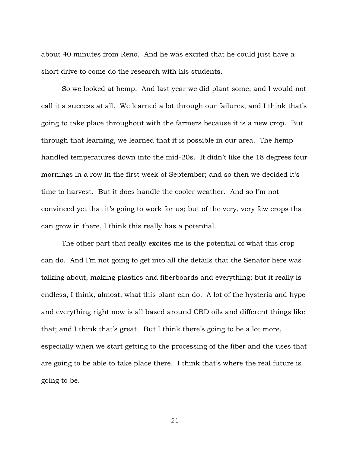about 40 minutes from Reno. And he was excited that he could just have a short drive to come do the research with his students.

So we looked at hemp. And last year we did plant some, and I would not call it a success at all. We learned a lot through our failures, and I think that's going to take place throughout with the farmers because it is a new crop. But through that learning, we learned that it is possible in our area. The hemp handled temperatures down into the mid-20s. It didn't like the 18 degrees four mornings in a row in the first week of September; and so then we decided it's time to harvest. But it does handle the cooler weather. And so I'm not convinced yet that it's going to work for us; but of the very, very few crops that can grow in there, I think this really has a potential.

The other part that really excites me is the potential of what this crop can do. And I'm not going to get into all the details that the Senator here was talking about, making plastics and fiberboards and everything; but it really is endless, I think, almost, what this plant can do. A lot of the hysteria and hype and everything right now is all based around CBD oils and different things like that; and I think that's great. But I think there's going to be a lot more, especially when we start getting to the processing of the fiber and the uses that are going to be able to take place there. I think that's where the real future is going to be.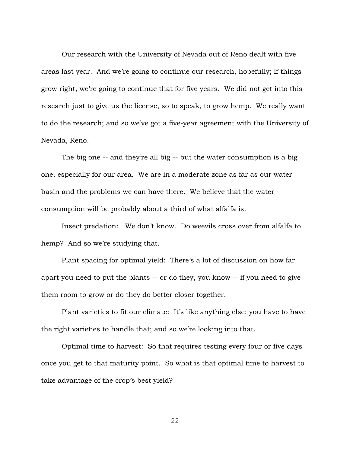Our research with the University of Nevada out of Reno dealt with five areas last year. And we're going to continue our research, hopefully; if things grow right, we're going to continue that for five years. We did not get into this research just to give us the license, so to speak, to grow hemp. We really want to do the research; and so we've got a five-year agreement with the University of Nevada, Reno.

The big one -- and they're all big -- but the water consumption is a big one, especially for our area. We are in a moderate zone as far as our water basin and the problems we can have there. We believe that the water consumption will be probably about a third of what alfalfa is.

Insect predation: We don't know. Do weevils cross over from alfalfa to hemp? And so we're studying that.

Plant spacing for optimal yield: There's a lot of discussion on how far apart you need to put the plants -- or do they, you know -- if you need to give them room to grow or do they do better closer together.

Plant varieties to fit our climate: It's like anything else; you have to have the right varieties to handle that; and so we're looking into that.

Optimal time to harvest: So that requires testing every four or five days once you get to that maturity point. So what is that optimal time to harvest to take advantage of the crop's best yield?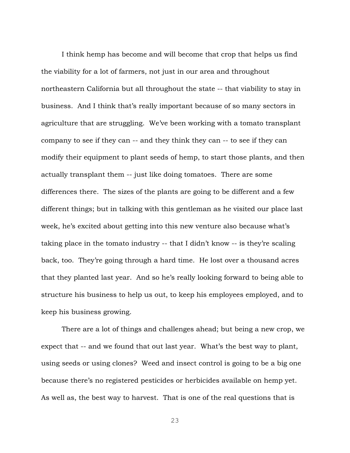I think hemp has become and will become that crop that helps us find the viability for a lot of farmers, not just in our area and throughout northeastern California but all throughout the state -- that viability to stay in business. And I think that's really important because of so many sectors in agriculture that are struggling. We've been working with a tomato transplant company to see if they can -- and they think they can -- to see if they can modify their equipment to plant seeds of hemp, to start those plants, and then actually transplant them -- just like doing tomatoes. There are some differences there. The sizes of the plants are going to be different and a few different things; but in talking with this gentleman as he visited our place last week, he's excited about getting into this new venture also because what's taking place in the tomato industry -- that I didn't know -- is they're scaling back, too. They're going through a hard time. He lost over a thousand acres that they planted last year. And so he's really looking forward to being able to structure his business to help us out, to keep his employees employed, and to keep his business growing.

There are a lot of things and challenges ahead; but being a new crop, we expect that -- and we found that out last year. What's the best way to plant, using seeds or using clones? Weed and insect control is going to be a big one because there's no registered pesticides or herbicides available on hemp yet. As well as, the best way to harvest. That is one of the real questions that is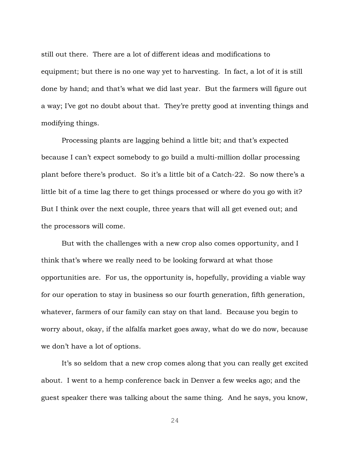still out there. There are a lot of different ideas and modifications to equipment; but there is no one way yet to harvesting. In fact, a lot of it is still done by hand; and that's what we did last year. But the farmers will figure out a way; I've got no doubt about that. They're pretty good at inventing things and modifying things.

Processing plants are lagging behind a little bit; and that's expected because I can't expect somebody to go build a multi-million dollar processing plant before there's product. So it's a little bit of a Catch-22. So now there's a little bit of a time lag there to get things processed or where do you go with it? But I think over the next couple, three years that will all get evened out; and the processors will come.

But with the challenges with a new crop also comes opportunity, and I think that's where we really need to be looking forward at what those opportunities are. For us, the opportunity is, hopefully, providing a viable way for our operation to stay in business so our fourth generation, fifth generation, whatever, farmers of our family can stay on that land. Because you begin to worry about, okay, if the alfalfa market goes away, what do we do now, because we don't have a lot of options.

It's so seldom that a new crop comes along that you can really get excited about. I went to a hemp conference back in Denver a few weeks ago; and the guest speaker there was talking about the same thing. And he says, you know,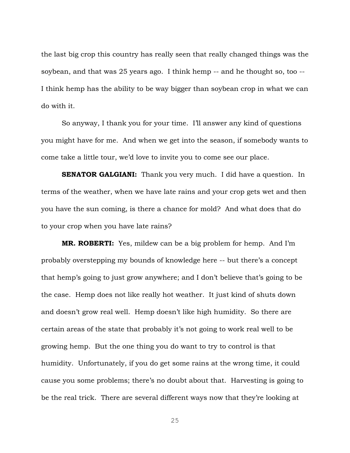the last big crop this country has really seen that really changed things was the soybean, and that was 25 years ago. I think hemp -- and he thought so, too -- I think hemp has the ability to be way bigger than soybean crop in what we can do with it.

So anyway, I thank you for your time. I'll answer any kind of questions you might have for me. And when we get into the season, if somebody wants to come take a little tour, we'd love to invite you to come see our place.

**SENATOR GALGIANI:** Thank you very much. I did have a question. In terms of the weather, when we have late rains and your crop gets wet and then you have the sun coming, is there a chance for mold? And what does that do to your crop when you have late rains?

**MR. ROBERTI:** Yes, mildew can be a big problem for hemp. And I'm probably overstepping my bounds of knowledge here -- but there's a concept that hemp's going to just grow anywhere; and I don't believe that's going to be the case. Hemp does not like really hot weather. It just kind of shuts down and doesn't grow real well. Hemp doesn't like high humidity. So there are certain areas of the state that probably it's not going to work real well to be growing hemp. But the one thing you do want to try to control is that humidity. Unfortunately, if you do get some rains at the wrong time, it could cause you some problems; there's no doubt about that. Harvesting is going to be the real trick. There are several different ways now that they're looking at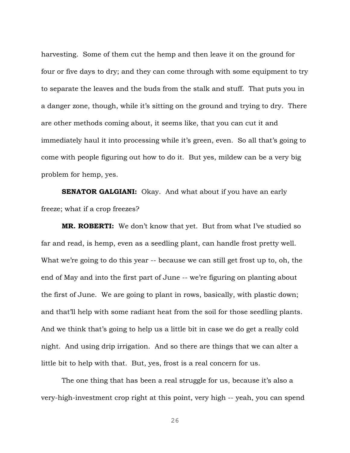harvesting. Some of them cut the hemp and then leave it on the ground for four or five days to dry; and they can come through with some equipment to try to separate the leaves and the buds from the stalk and stuff. That puts you in a danger zone, though, while it's sitting on the ground and trying to dry. There are other methods coming about, it seems like, that you can cut it and immediately haul it into processing while it's green, even. So all that's going to come with people figuring out how to do it. But yes, mildew can be a very big problem for hemp, yes.

**SENATOR GALGIANI:** Okay. And what about if you have an early freeze; what if a crop freezes?

**MR. ROBERTI:** We don't know that yet. But from what I've studied so far and read, is hemp, even as a seedling plant, can handle frost pretty well. What we're going to do this year -- because we can still get frost up to, oh, the end of May and into the first part of June -- we're figuring on planting about the first of June. We are going to plant in rows, basically, with plastic down; and that'll help with some radiant heat from the soil for those seedling plants. And we think that's going to help us a little bit in case we do get a really cold night. And using drip irrigation. And so there are things that we can alter a little bit to help with that. But, yes, frost is a real concern for us.

The one thing that has been a real struggle for us, because it's also a very-high-investment crop right at this point, very high -- yeah, you can spend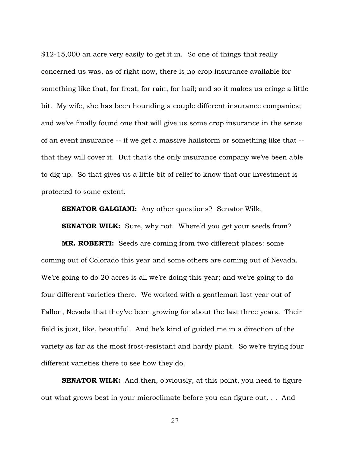\$12-15,000 an acre very easily to get it in. So one of things that really concerned us was, as of right now, there is no crop insurance available for something like that, for frost, for rain, for hail; and so it makes us cringe a little bit. My wife, she has been hounding a couple different insurance companies; and we've finally found one that will give us some crop insurance in the sense of an event insurance -- if we get a massive hailstorm or something like that - that they will cover it. But that's the only insurance company we've been able to dig up. So that gives us a little bit of relief to know that our investment is protected to some extent.

**SENATOR GALGIANI:** Any other questions? Senator Wilk.

**SENATOR WILK:** Sure, why not. Where'd you get your seeds from?

**MR. ROBERTI:** Seeds are coming from two different places: some coming out of Colorado this year and some others are coming out of Nevada. We're going to do 20 acres is all we're doing this year; and we're going to do four different varieties there. We worked with a gentleman last year out of Fallon, Nevada that they've been growing for about the last three years. Their field is just, like, beautiful. And he's kind of guided me in a direction of the variety as far as the most frost-resistant and hardy plant. So we're trying four different varieties there to see how they do.

**SENATOR WILK:** And then, obviously, at this point, you need to figure out what grows best in your microclimate before you can figure out. . . And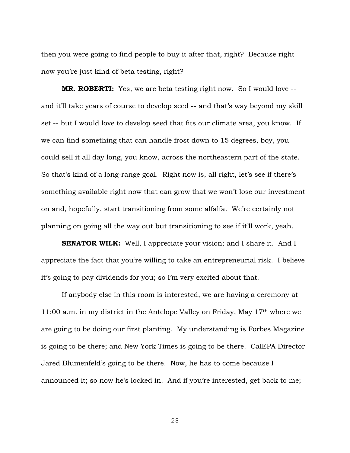then you were going to find people to buy it after that, right? Because right now you're just kind of beta testing, right?

**MR. ROBERTI:** Yes, we are beta testing right now. So I would love - and it'll take years of course to develop seed -- and that's way beyond my skill set -- but I would love to develop seed that fits our climate area, you know. If we can find something that can handle frost down to 15 degrees, boy, you could sell it all day long, you know, across the northeastern part of the state. So that's kind of a long-range goal. Right now is, all right, let's see if there's something available right now that can grow that we won't lose our investment on and, hopefully, start transitioning from some alfalfa. We're certainly not planning on going all the way out but transitioning to see if it'll work, yeah.

**SENATOR WILK:** Well, I appreciate your vision; and I share it. And I appreciate the fact that you're willing to take an entrepreneurial risk. I believe it's going to pay dividends for you; so I'm very excited about that.

If anybody else in this room is interested, we are having a ceremony at 11:00 a.m. in my district in the Antelope Valley on Friday, May 17th where we are going to be doing our first planting. My understanding is Forbes Magazine is going to be there; and New York Times is going to be there. CalEPA Director Jared Blumenfeld's going to be there. Now, he has to come because I announced it; so now he's locked in. And if you're interested, get back to me;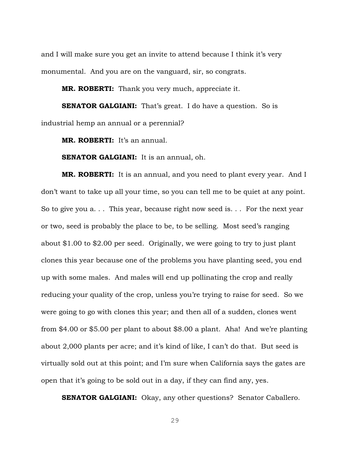and I will make sure you get an invite to attend because I think it's very monumental. And you are on the vanguard, sir, so congrats.

**MR. ROBERTI:** Thank you very much, appreciate it.

**SENATOR GALGIANI:** That's great. I do have a question. So is industrial hemp an annual or a perennial?

**MR. ROBERTI:** It's an annual.

**SENATOR GALGIANI:** It is an annual, oh.

**MR. ROBERTI:** It is an annual, and you need to plant every year. And I don't want to take up all your time, so you can tell me to be quiet at any point. So to give you a. . . This year, because right now seed is. . . For the next year or two, seed is probably the place to be, to be selling. Most seed's ranging about \$1.00 to \$2.00 per seed. Originally, we were going to try to just plant clones this year because one of the problems you have planting seed, you end up with some males. And males will end up pollinating the crop and really reducing your quality of the crop, unless you're trying to raise for seed. So we were going to go with clones this year; and then all of a sudden, clones went from \$4.00 or \$5.00 per plant to about \$8.00 a plant. Aha! And we're planting about 2,000 plants per acre; and it's kind of like, I can't do that. But seed is virtually sold out at this point; and I'm sure when California says the gates are open that it's going to be sold out in a day, if they can find any, yes.

**SENATOR GALGIANI:** Okay, any other questions? Senator Caballero.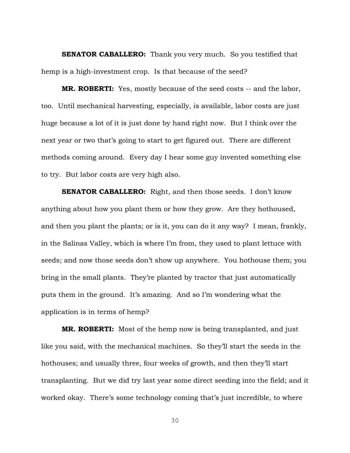**SENATOR CABALLERO:** Thank you very much. So you testified that hemp is a high-investment crop. Is that because of the seed?

**MR. ROBERTI:** Yes, mostly because of the seed costs -- and the labor, too. Until mechanical harvesting, especially, is available, labor costs are just huge because a lot of it is just done by hand right now. But I think over the next year or two that's going to start to get figured out. There are different methods coming around. Every day I hear some guy invented something else to try. But labor costs are very high also.

**SENATOR CABALLERO:** Right, and then those seeds. I don't know anything about how you plant them or how they grow. Are they hothoused, and then you plant the plants; or is it, you can do it any way? I mean, frankly, in the Salinas Valley, which is where I'm from, they used to plant lettuce with seeds; and now those seeds don't show up anywhere. You hothouse them; you bring in the small plants. They're planted by tractor that just automatically puts them in the ground. It's amazing. And so I'm wondering what the application is in terms of hemp?

**MR. ROBERTI:** Most of the hemp now is being transplanted, and just like you said, with the mechanical machines. So they'll start the seeds in the hothouses; and usually three, four weeks of growth, and then they'll start transplanting. But we did try last year some direct seeding into the field; and it worked okay. There's some technology coming that's just incredible, to where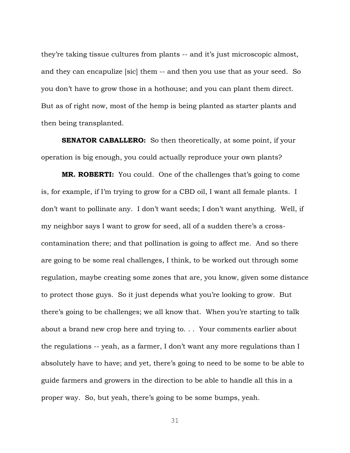they're taking tissue cultures from plants -- and it's just microscopic almost, and they can encapulize [sic] them -- and then you use that as your seed. So you don't have to grow those in a hothouse; and you can plant them direct. But as of right now, most of the hemp is being planted as starter plants and then being transplanted.

**SENATOR CABALLERO:** So then theoretically, at some point, if your operation is big enough, you could actually reproduce your own plants?

**MR. ROBERTI:** You could. One of the challenges that's going to come is, for example, if I'm trying to grow for a CBD oil, I want all female plants. I don't want to pollinate any. I don't want seeds; I don't want anything. Well, if my neighbor says I want to grow for seed, all of a sudden there's a crosscontamination there; and that pollination is going to affect me. And so there are going to be some real challenges, I think, to be worked out through some regulation, maybe creating some zones that are, you know, given some distance to protect those guys. So it just depends what you're looking to grow. But there's going to be challenges; we all know that. When you're starting to talk about a brand new crop here and trying to. . . Your comments earlier about the regulations -- yeah, as a farmer, I don't want any more regulations than I absolutely have to have; and yet, there's going to need to be some to be able to guide farmers and growers in the direction to be able to handle all this in a proper way. So, but yeah, there's going to be some bumps, yeah.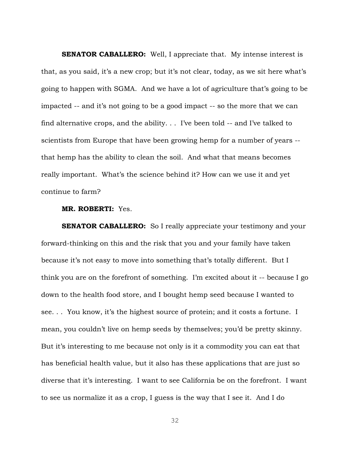**SENATOR CABALLERO:** Well, I appreciate that. My intense interest is that, as you said, it's a new crop; but it's not clear, today, as we sit here what's going to happen with SGMA. And we have a lot of agriculture that's going to be impacted -- and it's not going to be a good impact -- so the more that we can find alternative crops, and the ability. . . I've been told -- and I've talked to scientists from Europe that have been growing hemp for a number of years - that hemp has the ability to clean the soil. And what that means becomes really important. What's the science behind it? How can we use it and yet continue to farm?

#### **MR. ROBERTI:** Yes.

**SENATOR CABALLERO:** So I really appreciate your testimony and your forward-thinking on this and the risk that you and your family have taken because it's not easy to move into something that's totally different. But I think you are on the forefront of something. I'm excited about it -- because I go down to the health food store, and I bought hemp seed because I wanted to see. . . You know, it's the highest source of protein; and it costs a fortune. I mean, you couldn't live on hemp seeds by themselves; you'd be pretty skinny. But it's interesting to me because not only is it a commodity you can eat that has beneficial health value, but it also has these applications that are just so diverse that it's interesting. I want to see California be on the forefront. I want to see us normalize it as a crop, I guess is the way that I see it. And I do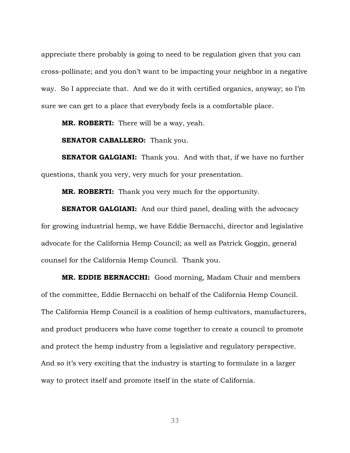appreciate there probably is going to need to be regulation given that you can cross-pollinate; and you don't want to be impacting your neighbor in a negative way. So I appreciate that. And we do it with certified organics, anyway; so I'm sure we can get to a place that everybody feels is a comfortable place.

**MR. ROBERTI:** There will be a way, yeah.

**SENATOR CABALLERO:** Thank you.

**SENATOR GALGIANI:** Thank you. And with that, if we have no further questions, thank you very, very much for your presentation.

**MR. ROBERTI:** Thank you very much for the opportunity.

**SENATOR GALGIANI:** And our third panel, dealing with the advocacy for growing industrial hemp, we have Eddie Bernacchi, director and legislative advocate for the California Hemp Council; as well as Patrick Goggin, general counsel for the California Hemp Council. Thank you.

**MR. EDDIE BERNACCHI:** Good morning, Madam Chair and members of the committee, Eddie Bernacchi on behalf of the California Hemp Council. The California Hemp Council is a coalition of hemp cultivators, manufacturers, and product producers who have come together to create a council to promote and protect the hemp industry from a legislative and regulatory perspective. And so it's very exciting that the industry is starting to formulate in a larger way to protect itself and promote itself in the state of California.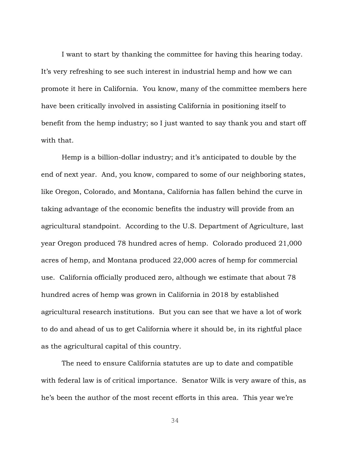I want to start by thanking the committee for having this hearing today. It's very refreshing to see such interest in industrial hemp and how we can promote it here in California. You know, many of the committee members here have been critically involved in assisting California in positioning itself to benefit from the hemp industry; so I just wanted to say thank you and start off with that.

Hemp is a billion-dollar industry; and it's anticipated to double by the end of next year. And, you know, compared to some of our neighboring states, like Oregon, Colorado, and Montana, California has fallen behind the curve in taking advantage of the economic benefits the industry will provide from an agricultural standpoint. According to the U.S. Department of Agriculture, last year Oregon produced 78 hundred acres of hemp. Colorado produced 21,000 acres of hemp, and Montana produced 22,000 acres of hemp for commercial use. California officially produced zero, although we estimate that about 78 hundred acres of hemp was grown in California in 2018 by established agricultural research institutions. But you can see that we have a lot of work to do and ahead of us to get California where it should be, in its rightful place as the agricultural capital of this country.

The need to ensure California statutes are up to date and compatible with federal law is of critical importance. Senator Wilk is very aware of this, as he's been the author of the most recent efforts in this area. This year we're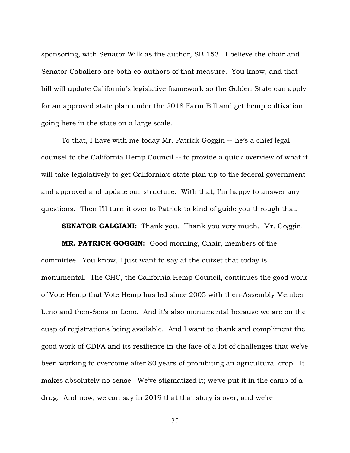sponsoring, with Senator Wilk as the author, SB 153. I believe the chair and Senator Caballero are both co-authors of that measure. You know, and that bill will update California's legislative framework so the Golden State can apply for an approved state plan under the 2018 Farm Bill and get hemp cultivation going here in the state on a large scale.

To that, I have with me today Mr. Patrick Goggin -- he's a chief legal counsel to the California Hemp Council -- to provide a quick overview of what it will take legislatively to get California's state plan up to the federal government and approved and update our structure. With that, I'm happy to answer any questions. Then I'll turn it over to Patrick to kind of guide you through that.

**SENATOR GALGIANI:** Thank you. Thank you very much. Mr. Goggin.

**MR. PATRICK GOGGIN:** Good morning, Chair, members of the committee. You know, I just want to say at the outset that today is monumental. The CHC, the California Hemp Council, continues the good work of Vote Hemp that Vote Hemp has led since 2005 with then-Assembly Member Leno and then-Senator Leno. And it's also monumental because we are on the cusp of registrations being available. And I want to thank and compliment the good work of CDFA and its resilience in the face of a lot of challenges that we've been working to overcome after 80 years of prohibiting an agricultural crop. It makes absolutely no sense. We've stigmatized it; we've put it in the camp of a drug. And now, we can say in 2019 that that story is over; and we're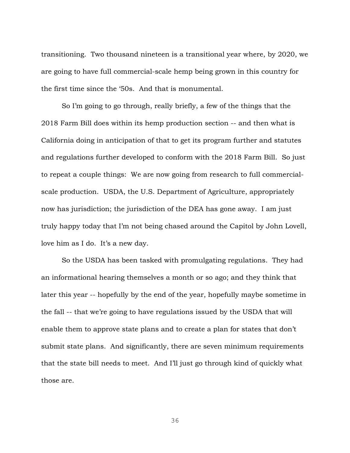transitioning. Two thousand nineteen is a transitional year where, by 2020, we are going to have full commercial-scale hemp being grown in this country for the first time since the '50s. And that is monumental.

So I'm going to go through, really briefly, a few of the things that the 2018 Farm Bill does within its hemp production section -- and then what is California doing in anticipation of that to get its program further and statutes and regulations further developed to conform with the 2018 Farm Bill. So just to repeat a couple things: We are now going from research to full commercialscale production. USDA, the U.S. Department of Agriculture, appropriately now has jurisdiction; the jurisdiction of the DEA has gone away. I am just truly happy today that I'm not being chased around the Capitol by John Lovell, love him as I do. It's a new day.

So the USDA has been tasked with promulgating regulations. They had an informational hearing themselves a month or so ago; and they think that later this year -- hopefully by the end of the year, hopefully maybe sometime in the fall -- that we're going to have regulations issued by the USDA that will enable them to approve state plans and to create a plan for states that don't submit state plans. And significantly, there are seven minimum requirements that the state bill needs to meet. And I'll just go through kind of quickly what those are.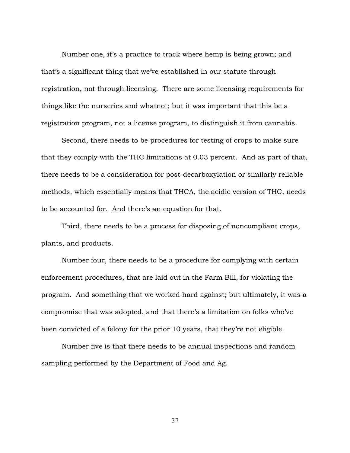Number one, it's a practice to track where hemp is being grown; and that's a significant thing that we've established in our statute through registration, not through licensing. There are some licensing requirements for things like the nurseries and whatnot; but it was important that this be a registration program, not a license program, to distinguish it from cannabis.

Second, there needs to be procedures for testing of crops to make sure that they comply with the THC limitations at 0.03 percent. And as part of that, there needs to be a consideration for post-decarboxylation or similarly reliable methods, which essentially means that THCA, the acidic version of THC, needs to be accounted for. And there's an equation for that.

Third, there needs to be a process for disposing of noncompliant crops, plants, and products.

Number four, there needs to be a procedure for complying with certain enforcement procedures, that are laid out in the Farm Bill, for violating the program. And something that we worked hard against; but ultimately, it was a compromise that was adopted, and that there's a limitation on folks who've been convicted of a felony for the prior 10 years, that they're not eligible.

Number five is that there needs to be annual inspections and random sampling performed by the Department of Food and Ag.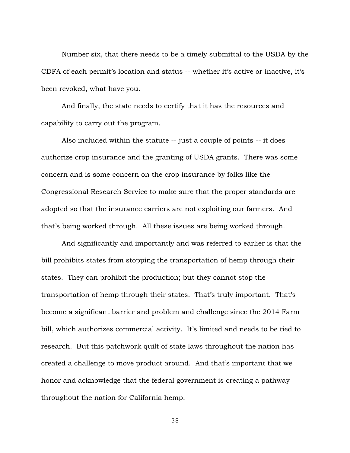Number six, that there needs to be a timely submittal to the USDA by the CDFA of each permit's location and status -- whether it's active or inactive, it's been revoked, what have you.

And finally, the state needs to certify that it has the resources and capability to carry out the program.

Also included within the statute -- just a couple of points -- it does authorize crop insurance and the granting of USDA grants. There was some concern and is some concern on the crop insurance by folks like the Congressional Research Service to make sure that the proper standards are adopted so that the insurance carriers are not exploiting our farmers. And that's being worked through. All these issues are being worked through.

And significantly and importantly and was referred to earlier is that the bill prohibits states from stopping the transportation of hemp through their states. They can prohibit the production; but they cannot stop the transportation of hemp through their states. That's truly important. That's become a significant barrier and problem and challenge since the 2014 Farm bill, which authorizes commercial activity. It's limited and needs to be tied to research. But this patchwork quilt of state laws throughout the nation has created a challenge to move product around. And that's important that we honor and acknowledge that the federal government is creating a pathway throughout the nation for California hemp.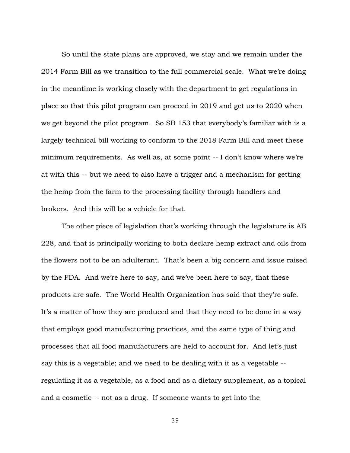So until the state plans are approved, we stay and we remain under the 2014 Farm Bill as we transition to the full commercial scale. What we're doing in the meantime is working closely with the department to get regulations in place so that this pilot program can proceed in 2019 and get us to 2020 when we get beyond the pilot program. So SB 153 that everybody's familiar with is a largely technical bill working to conform to the 2018 Farm Bill and meet these minimum requirements. As well as, at some point -- I don't know where we're at with this -- but we need to also have a trigger and a mechanism for getting the hemp from the farm to the processing facility through handlers and brokers. And this will be a vehicle for that.

The other piece of legislation that's working through the legislature is AB 228, and that is principally working to both declare hemp extract and oils from the flowers not to be an adulterant. That's been a big concern and issue raised by the FDA. And we're here to say, and we've been here to say, that these products are safe. The World Health Organization has said that they're safe. It's a matter of how they are produced and that they need to be done in a way that employs good manufacturing practices, and the same type of thing and processes that all food manufacturers are held to account for. And let's just say this is a vegetable; and we need to be dealing with it as a vegetable - regulating it as a vegetable, as a food and as a dietary supplement, as a topical and a cosmetic -- not as a drug. If someone wants to get into the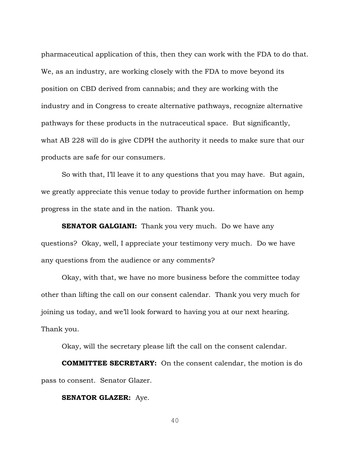pharmaceutical application of this, then they can work with the FDA to do that. We, as an industry, are working closely with the FDA to move beyond its position on CBD derived from cannabis; and they are working with the industry and in Congress to create alternative pathways, recognize alternative pathways for these products in the nutraceutical space. But significantly, what AB 228 will do is give CDPH the authority it needs to make sure that our products are safe for our consumers.

So with that, I'll leave it to any questions that you may have. But again, we greatly appreciate this venue today to provide further information on hemp progress in the state and in the nation. Thank you.

**SENATOR GALGIANI:** Thank you very much. Do we have any questions? Okay, well, I appreciate your testimony very much. Do we have any questions from the audience or any comments?

Okay, with that, we have no more business before the committee today other than lifting the call on our consent calendar. Thank you very much for joining us today, and we'll look forward to having you at our next hearing. Thank you.

Okay, will the secretary please lift the call on the consent calendar.

**COMMITTEE SECRETARY:** On the consent calendar, the motion is do pass to consent. Senator Glazer.

#### **SENATOR GLAZER:** Aye.